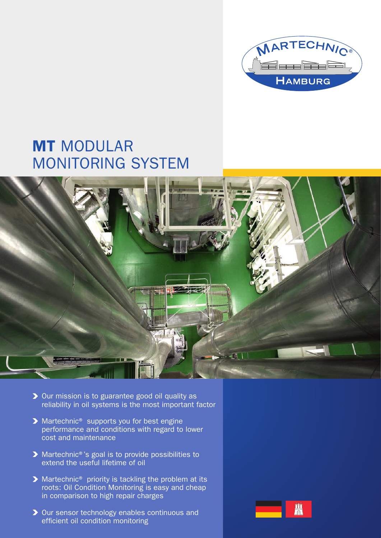

# MT MODULAR MONITORING SYSTEM



- ▶ Our mission is to guarantee good oil quality as reliability in oil systems is the most important factor
- ▶ Martechnic<sup>®</sup> supports you for best engine performance and conditions with regard to lower cost and maintenance
- ▶ Martechnic®'s goal is to provide possibilities to extend the useful lifetime of oil
- ▶ Martechnic<sup>®</sup> priority is tackling the problem at its roots: Oil Condition Monitoring is easy and cheap in comparison to high repair charges
- ▶ Our sensor technology enables continuous and efficient oil condition monitoring

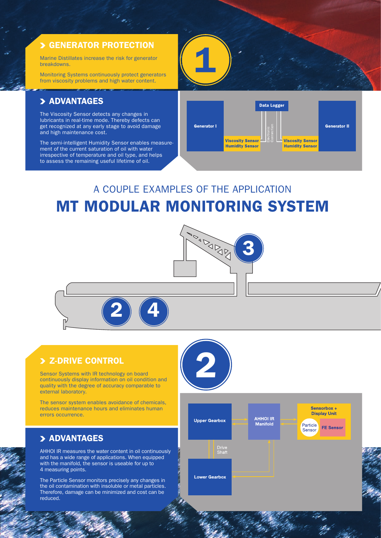#### > GENERATOR PROTECTION

Marine Distillates increase the risk for generator breakdowns.

Monitoring Systems continuously protect generators from viscosity problems and high water content.

#### > ADVANTAGES

The Viscosity Sensor detects any changes in lubricants in real-time mode. Thereby defects can get recognized at any early stage to avoid damage and high maintenance cost.

The semi-intelligent Humidity Sensor enables measurement of the current saturation of oil with water irrespective of temperature and oil type, and helps to assess the remaining useful lifetime of oil.



## A COUPLE EXAMPLES OF THE APPLICATION MT MODULAR MONITORING SYSTEM



Z-DRIVE CONTROL<br>sor Systems with IR technology on board<br>tinuously display information on oil condition and Sensor Systems with IR technology on board continuously display information on oil condition and quality with the degree of accuracy comparable to external laboratory.

The sensor system enables avoidance of chemicals, reduces maintenance hours and eliminates human errors occurrence.

#### > ADVANTAGES

AHHOI IR measures the water content in oil continuously and has a wide range of applications. When equipped with the manifold, the sensor is useable for up to 4 measuring points.

The Particle Sensor monitors precisely any changes in the oil contamination with insoluble or metal particles. Therefore, damage can be minimized and cost can be reduced.

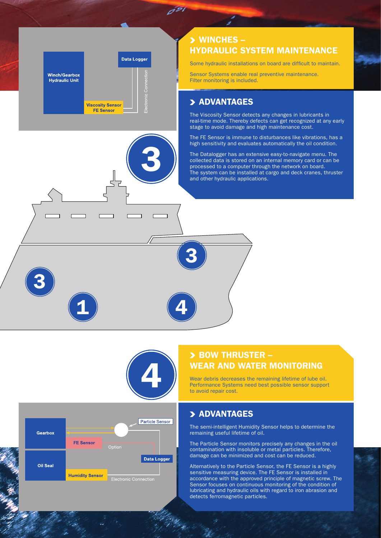## Data Logger **Winch/Gearbox Hydraulic Unit Viscosity Sensor FE Sensor**

#### WINCHES – HYDRAULIC SYSTEM MAINTENANCE

Some hydraulic installations on board are difficult to maintain.

Sensor Systems enable real preventive maintenance. Filter monitoring is included.

#### > ADVANTAGES

The Viscosity Sensor detects any changes in lubricants in real-time mode. Thereby defects can get recognized at any early stage to avoid damage and high maintenance cost.

The FE Sensor is immune to disturbances like vibrations, has a high sensitivity and evaluates automatically the oil condition.

The Datalogger has an extensive easy-to-navigate menu. The collected data is stored on an internal memory card or can be processed to a computer through the network on board. The system can be installed at cargo and deck cranes, thruster and other hydraulic applications.



3

 $\overline{d^{g_1}}$ 

4

3

### $\geq$  BOW THRUSTER – WEAR AND WATER MONITORING

Wear debris decreases the remaining lifetime of lube oil. Performance Systems need best possible sensor support to avoid repair cost.

#### > ADVANTAGES

The semi-intelligent Humidity Sensor helps to determine the remaining useful lifetime of oil.

The Particle Sensor monitors precisely any changes in the oil contamination with insoluble or metal particles. Therefore, damage can be minimized and cost can be reduced.

Alternatively to the Particle Sensor, the FE Sensor is a highly sensitive measuring device. The FE Sensor is installed in accordance with the approved principle of magnetic screw. The Sensor focuses on continuous monitoring of the condition of lubricating and hydraulic oils with regard to iron abrasion and detects ferromagnetic particles.



1

3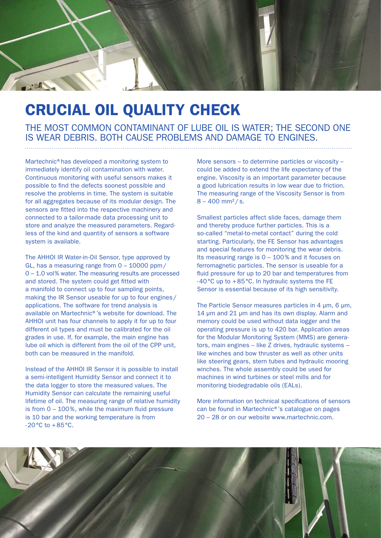

# CRUCIAL OIL QUALITY CHECK

THE MOST COMMON CONTAMINANT OF LUBE OIL IS WATER; THE SECOND ONE IS WEAR DEBRIS. BOTH CAUSE PROBLEMS AND DAMAGE TO ENGINES.

Martechnic®has developed a monitoring system to immediately identify oil contamination with water. Continuous monitoring with useful sensors makes it possible to find the defects soonest possible and resolve the problems in time. The system is suitable for all aggregates because of its modular design. The sensors are fitted into the respective machinery and connected to a tailor-made data processing unit to store and analyze the measured parameters. Regardless of the kind and quantity of sensors a software system is available.

The AHHOI IR Water-in-Oil Sensor, type approved by GL, has a measuring range from 0 – 10000 ppm/ 0 – 1.0 vol% water. The measuring results are processed and stored. The system could get fitted with a manifold to connect up to four sampling points, making the IR Sensor useable for up to four engines/ applications. The software for trend analysis is available on Martechnic®'s website for download. The AHHOI unit has four channels to apply it for up to four different oil types and must be calibrated for the oil grades in use. If, for example, the main engine has lube oil which is different from the oil of the CPP unit, both can be measured in the manifold.

Instead of the AHHOI IR Sensor it is possible to install a semi-intelligent Humidity Sensor and connect it to the data logger to store the measured values. The Humidity Sensor can calculate the remaining useful lifetime of oil. The measuring range of relative humidity is from 0 – 100%, while the maximum fluid pressure is 10 bar and the working temperature is from  $-20\,^{\circ}\text{C}$  to  $+85\,^{\circ}\text{C}$ .

More sensors – to determine particles or viscosity – could be added to extend the life expectancy of the engine. Viscosity is an important parameter because a good lubrication results in low wear due to friction. The measuring range of the Viscosity Sensor is from  $8 - 400$  mm<sup>2</sup>/s.

Smallest particles affect slide faces, damage them and thereby produce further particles. This is a so-called "metal-to-metal contact" during the cold starting. Particularly, the FE Sensor has advantages and special features for monitoring the wear debris. Its measuring range is 0 – 100% and it focuses on ferromagnetic particles. The sensor is useable for a fluid pressure for up to 20 bar and temperatures from -40°C up to +85°C. In hydraulic systems the FE Sensor is essential because of its high sensitivity.

The Particle Sensor measures particles in 4 μm, 6 μm, 14 μm and 21 μm and has its own display. Alarm and memory could be used without data logger and the operating pressure is up to 420 bar. Application areas for the Modular Monitoring System (MMS) are generators, main engines – like Z drives, hydraulic systems – like winches and bow thruster as well as other units like steering gears, stern tubes and hydraulic mooring winches. The whole assembly could be used for machines in wind turbines or steel mills and for monitoring biodegradable oils (EALs).

More information on technical specifications of sensors can be found in Martechnic®'s catalogue on pages 20 – 28 or on our website www.martechnic.com.